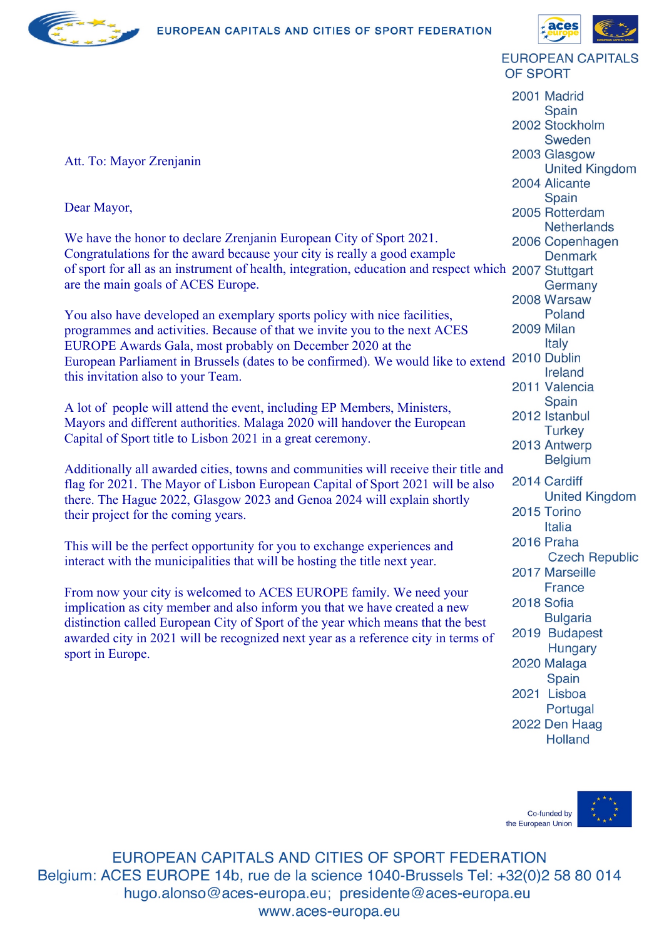



**EUROPEAN CAPITALS** OF SPORT

2001 Madrid Spain 2002 Stockholm Sweden 2003 Glasgow **United Kingdom** 2004 Alicante Spain 2005 Rotterdam **Netherlands** 2006 Copenhagen **Denmark** Germany 2008 Warsaw Poland 2009 Milan Italy 2010 Dublin Ireland 2011 Valencia Spain 2012 Istanbul **Turkey** 2013 Antwerp **Belgium** 2014 Cardiff **United Kingdom** 2015 Torino Italia 2016 Praha **Czech Republic** 2017 Marseille **France** 2018 Sofia **Bulgaria** 2019 Budapest Hungary 2020 Malaga Spain 2021 Lisboa Portugal 2022 Den Haag

Att. To: Mayor Zrenjanin

Dear Mayor,

We have the honor to declare Zrenjanin European City of Sport 2021. Congratulations for the award because your city is really a good example of sport for all as an instrument of health, integration, education and respect which are the main goals of ACES Europe.

You also have developed an exemplary sports policy with nice facilities, programmes and activities. Because of that we invite you to the next ACES EUROPE Awards Gala, most probably on December 2020 at the European Parliament in Brussels (dates to be confirmed). We would like to extend this invitation also to your Team.

A lot of people will attend the event, including EP Members, Ministers, Mayors and different authorities. Malaga 2020 will handover the European Capital of Sport title to Lisbon 2021 in a great ceremony.

Additionally all awarded cities, towns and communities will receive their title and flag for 2021. The Mayor of Lisbon European Capital of Sport 2021 will be also there. The Hague 2022, Glasgow 2023 and Genoa 2024 will explain shortly their project for the coming years.

This will be the perfect opportunity for you to exchange experiences and interact with the municipalities that will be hosting the title next year.

From now your city is welcomed to ACES EUROPE family. We need your implication as city member and also inform you that we have created a new distinction called European City of Sport of the year which means that the best awarded city in 2021 will be recognized next year as a reference city in terms of sport in Europe.



**Holland** 

EUROPEAN CAPITALS AND CITIES OF SPORT FEDERATION Belgium: ACES EUROPE 14b, rue de la science 1040-Brussels Tel: +32(0)2 58 80 014 hugo.alonso@aces-europa.eu; presidente@aces-europa.eu www.aces-europa.eu